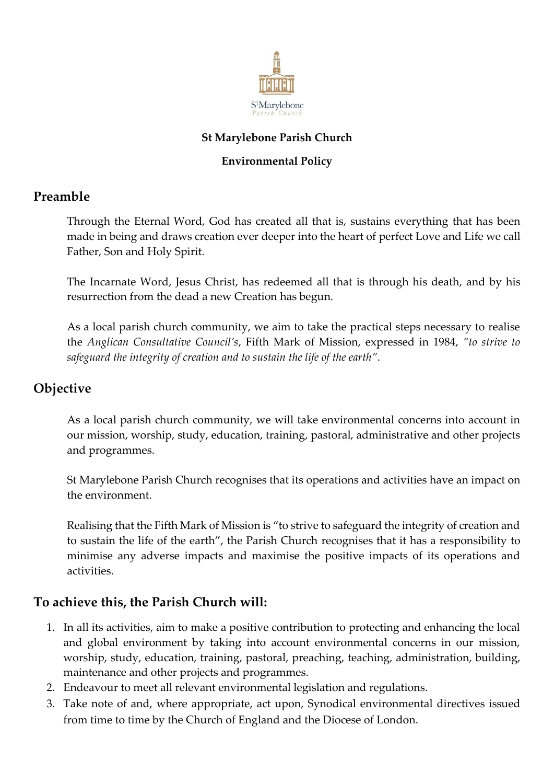

## **St Marylebone Parish Church**

### **Environmental Policy**

# **Preamble**

Through the Eternal Word, God has created all that is, sustains everything that has been made in being and draws creation ever deeper into the heart of perfect Love and Life we call Father, Son and Holy Spirit.

The Incarnate Word, Jesus Christ, has redeemed all that is through his death, and by his resurrection from the dead a new Creation has begun.

As a local parish church community, we aim to take the practical steps necessary to realise the *Anglican Consultative Council's*, Fifth Mark of Mission, expressed in 1984, *"to strive to safeguard the integrity of creation and to sustain the life of the earth"*.

# **Objective**

As a local parish church community, we will take environmental concerns into account in our mission, worship, study, education, training, pastoral, administrative and other projects and programmes.

St Marylebone Parish Church recognises that its operations and activities have an impact on the environment.

Realising that the Fifth Mark of Mission is "to strive to safeguard the integrity of creation and to sustain the life of the earth", the Parish Church recognises that it has a responsibility to minimise any adverse impacts and maximise the positive impacts of its operations and activities.

# **To achieve this, the Parish Church will:**

- 1. In all its activities, aim to make a positive contribution to protecting and enhancing the local and global environment by taking into account environmental concerns in our mission, worship, study, education, training, pastoral, preaching, teaching, administration, building, maintenance and other projects and programmes.
- 2. Endeavour to meet all relevant environmental legislation and regulations.
- 3. Take note of and, where appropriate, act upon, Synodical environmental directives issued from time to time by the Church of England and the Diocese of London.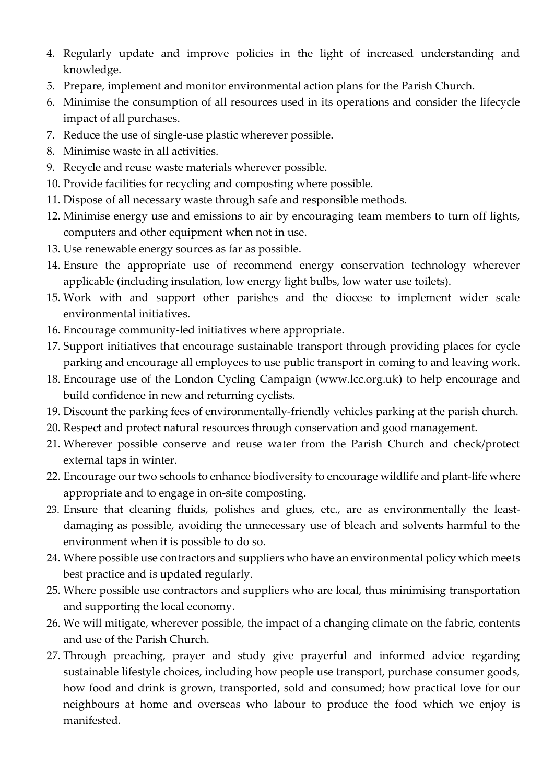- 4. Regularly update and improve policies in the light of increased understanding and knowledge.
- 5. Prepare, implement and monitor environmental action plans for the Parish Church.
- 6. Minimise the consumption of all resources used in its operations and consider the lifecycle impact of all purchases.
- 7. Reduce the use of single-use plastic wherever possible.
- 8. Minimise waste in all activities.
- 9. Recycle and reuse waste materials wherever possible.
- 10. Provide facilities for recycling and composting where possible.
- 11. Dispose of all necessary waste through safe and responsible methods.
- 12. Minimise energy use and emissions to air by encouraging team members to turn off lights, computers and other equipment when not in use.
- 13. Use renewable energy sources as far as possible.
- 14. Ensure the appropriate use of recommend energy conservation technology wherever applicable (including insulation, low energy light bulbs, low water use toilets).
- 15. Work with and support other parishes and the diocese to implement wider scale environmental initiatives.
- 16. Encourage community-led initiatives where appropriate.
- 17. Support initiatives that encourage sustainable transport through providing places for cycle parking and encourage all employees to use public transport in coming to and leaving work.
- 18. Encourage use of the London Cycling Campaign (www.lcc.org.uk) to help encourage and build confidence in new and returning cyclists.
- 19. Discount the parking fees of environmentally-friendly vehicles parking at the parish church.
- 20. Respect and protect natural resources through conservation and good management.
- 21. Wherever possible conserve and reuse water from the Parish Church and check/protect external taps in winter.
- 22. Encourage our two schools to enhance biodiversity to encourage wildlife and plant-life where appropriate and to engage in on-site composting.
- 23. Ensure that cleaning fluids, polishes and glues, etc., are as environmentally the leastdamaging as possible, avoiding the unnecessary use of bleach and solvents harmful to the environment when it is possible to do so.
- 24. Where possible use contractors and suppliers who have an environmental policy which meets best practice and is updated regularly.
- 25. Where possible use contractors and suppliers who are local, thus minimising transportation and supporting the local economy.
- 26. We will mitigate, wherever possible, the impact of a changing climate on the fabric, contents and use of the Parish Church.
- 27. Through preaching, prayer and study give prayerful and informed advice regarding sustainable lifestyle choices, including how people use transport, purchase consumer goods, how food and drink is grown, transported, sold and consumed; how practical love for our neighbours at home and overseas who labour to produce the food which we enjoy is manifested.